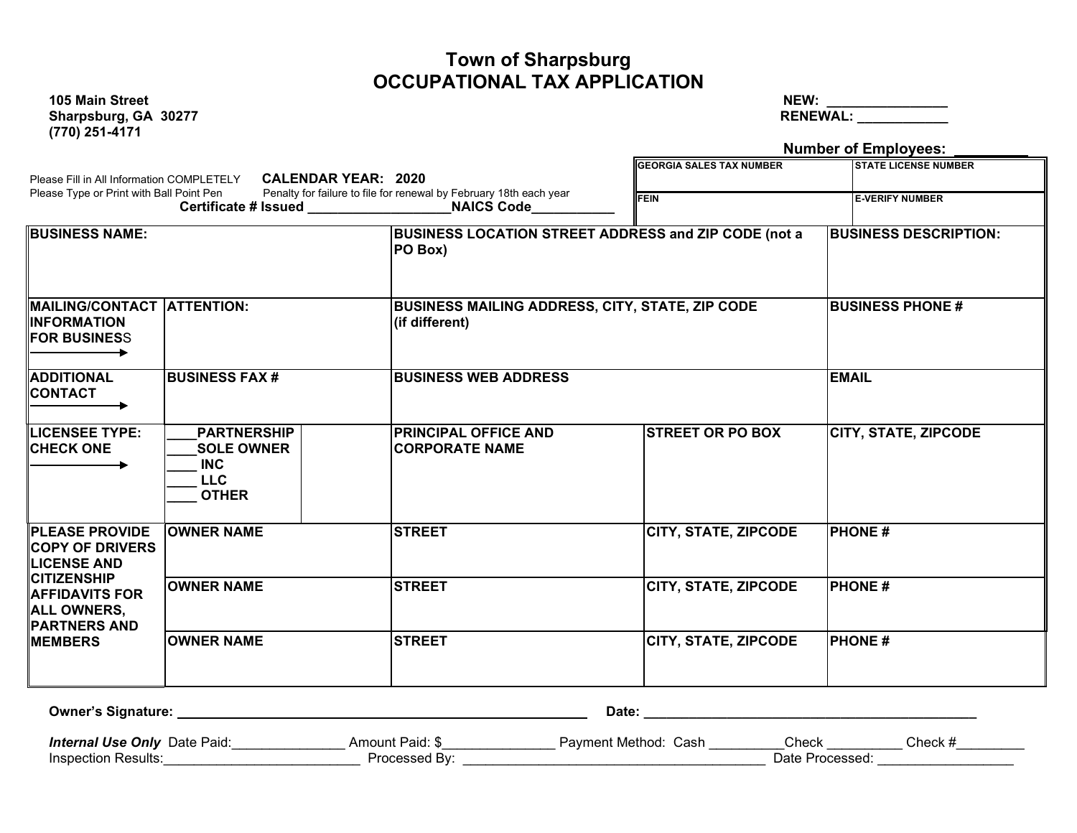### **Town of Sharpsburg OCCUPATIONAL TAX APPLICATION**

**105 Main Street NEW: \_\_\_\_\_\_\_\_\_\_\_\_\_\_\_\_ (770) 251-4171**

**Sharpsburg, GA 30277 RENEWAL: \_\_\_\_\_\_\_\_\_\_\_\_**

|                                                                                                                                                                                     |                                                                                     |                                                                    |                                                        | <b>Number of Employees:</b>                           |  |  |  |
|-------------------------------------------------------------------------------------------------------------------------------------------------------------------------------------|-------------------------------------------------------------------------------------|--------------------------------------------------------------------|--------------------------------------------------------|-------------------------------------------------------|--|--|--|
| Please Type or Print with Ball Point Pen                                                                                                                                            | Please Fill in All Information COMPLETELY CALENDAR YEAR: 2020                       | Penalty for failure to file for renewal by February 18th each year | <b>GEORGIA SALES TAX NUMBER</b><br><b>FEIN</b>         | <b>STATE LICENSE NUMBER</b><br><b>E-VERIFY NUMBER</b> |  |  |  |
|                                                                                                                                                                                     |                                                                                     | Certificate # Issued NAICS Code                                    |                                                        |                                                       |  |  |  |
| <b>BUSINESS NAME:</b>                                                                                                                                                               |                                                                                     | PO Box)                                                            | BUSINESS LOCATION STREET ADDRESS and ZIP CODE (not a   |                                                       |  |  |  |
| MAILING/CONTACT  ATTENTION:<br><b>INFORMATION</b><br><b>FOR BUSINESS</b>                                                                                                            |                                                                                     | (if different)                                                     | <b>BUSINESS MAILING ADDRESS, CITY, STATE, ZIP CODE</b> |                                                       |  |  |  |
| <b>ADDITIONAL</b><br><b>CONTACT</b>                                                                                                                                                 | <b>IBUSINESS FAX #</b>                                                              | <b>BUSINESS WEB ADDRESS</b>                                        |                                                        |                                                       |  |  |  |
| <b>LICENSEE TYPE:</b><br><b>CHECK ONE</b>                                                                                                                                           | <b>PARTNERSHIP</b><br><b>SOLE OWNER</b><br><b>INC</b><br><b>LLC</b><br><b>OTHER</b> | <b>PRINCIPAL OFFICE AND</b><br><b>CORPORATE NAME</b>               | <b>STREET OR PO BOX</b>                                | <b>CITY, STATE, ZIPCODE</b>                           |  |  |  |
| <b>PLEASE PROVIDE</b><br><b>COPY OF DRIVERS</b><br><b>LICENSE AND</b><br><b>CITIZENSHIP</b><br><b>AFFIDAVITS FOR</b><br><b>ALL OWNERS,</b><br><b>PARTNERS AND</b><br><b>MEMBERS</b> | <b>OWNER NAME</b>                                                                   | <b>STREET</b>                                                      | <b>CITY, STATE, ZIPCODE</b>                            | <b>PHONE#</b>                                         |  |  |  |
|                                                                                                                                                                                     | <b>OWNER NAME</b>                                                                   | <b>STREET</b>                                                      | <b>CITY, STATE, ZIPCODE</b>                            | <b>PHONE#</b>                                         |  |  |  |
|                                                                                                                                                                                     | <b>OWNER NAME</b>                                                                   | <b>STREET</b>                                                      | <b>CITY, STATE, ZIPCODE</b>                            | <b>PHONE#</b>                                         |  |  |  |

| <b>Owner's Signature:</b>           |                 | Date:                |                |       |  |
|-------------------------------------|-----------------|----------------------|----------------|-------|--|
| <b>Internal Use Only Date Paid:</b> | Amount Paid: \$ | Payment Method: Cash | Check          | Check |  |
| Inspection Results:                 | Processed Bv:   |                      | Date Processed |       |  |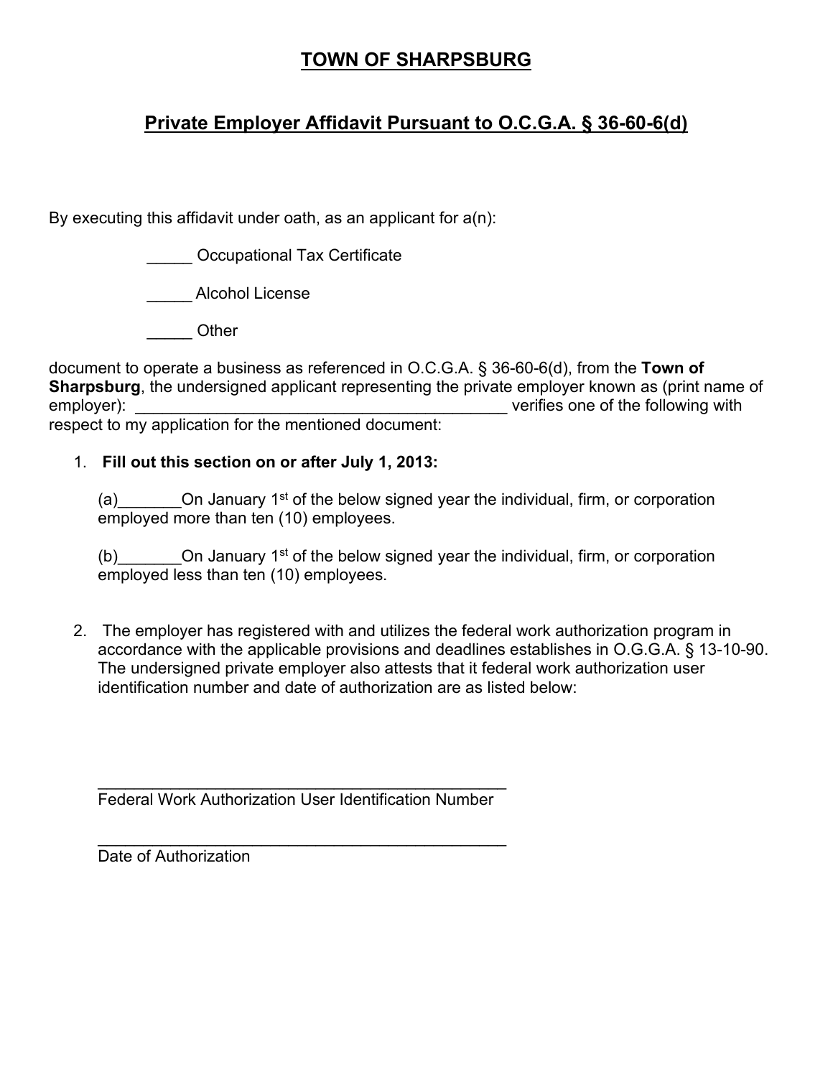## **TOWN OF SHARPSBURG**

# **Private Employer Affidavit Pursuant to O.C.G.A. § 36-60-6(d)**

By executing this affidavit under oath, as an applicant for a(n):

\_\_\_\_\_ Occupational Tax Certificate

\_\_\_\_\_ Alcohol License

\_\_\_\_\_ Other

document to operate a business as referenced in O.C.G.A. § 36-60-6(d), from the **Town of Sharpsburg**, the undersigned applicant representing the private employer known as (print name of employer): **Examployer** employer is a set of the following with  $\blacksquare$ respect to my application for the mentioned document:

#### 1. **Fill out this section on or after July 1, 2013:**

(a)  $\blacksquare$  On January 1<sup>st</sup> of the below signed year the individual, firm, or corporation employed more than ten (10) employees.

(b)  $\blacksquare$  On January 1<sup>st</sup> of the below signed year the individual, firm, or corporation employed less than ten (10) employees.

2. The employer has registered with and utilizes the federal work authorization program in accordance with the applicable provisions and deadlines establishes in O.G.G.A. § 13-10-90. The undersigned private employer also attests that it federal work authorization user identification number and date of authorization are as listed below:

\_\_\_\_\_\_\_\_\_\_\_\_\_\_\_\_\_\_\_\_\_\_\_\_\_\_\_\_\_\_\_\_\_\_\_\_\_\_\_\_\_\_\_\_\_ Federal Work Authorization User Identification Number

\_\_\_\_\_\_\_\_\_\_\_\_\_\_\_\_\_\_\_\_\_\_\_\_\_\_\_\_\_\_\_\_\_\_\_\_\_\_\_\_\_\_\_\_\_ Date of Authorization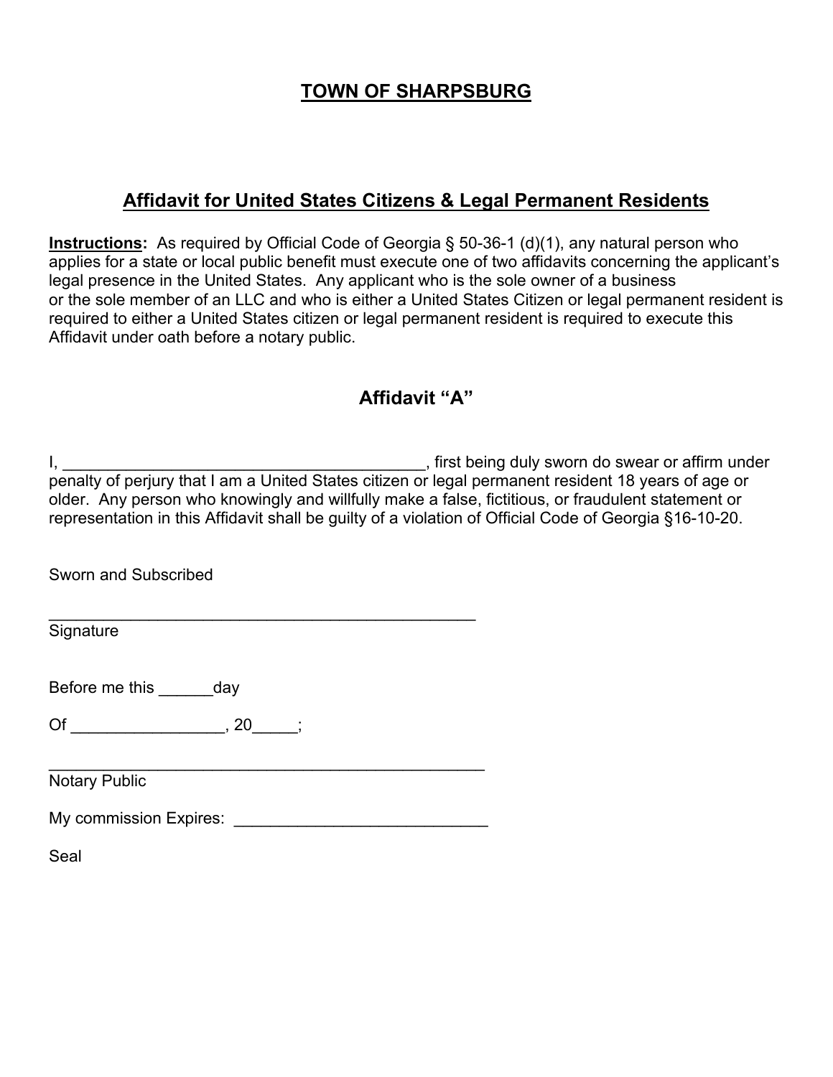# **TOWN OF SHARPSBURG**

## **Affidavit for United States Citizens & Legal Permanent Residents**

**Instructions:** As required by Official Code of Georgia § 50-36-1 (d)(1), any natural person who applies for a state or local public benefit must execute one of two affidavits concerning the applicant's legal presence in the United States. Any applicant who is the sole owner of a business or the sole member of an LLC and who is either a United States Citizen or legal permanent resident is required to either a United States citizen or legal permanent resident is required to execute this Affidavit under oath before a notary public.

## **Affidavit "A"**

| older. Any person who knowingly and willfully make a false, fictitious, or fraudulent statement or<br>representation in this Affidavit shall be guilty of a violation of Official Code of Georgia §16-10-20.                   |  |  |  |  |  |  |
|--------------------------------------------------------------------------------------------------------------------------------------------------------------------------------------------------------------------------------|--|--|--|--|--|--|
| Sworn and Subscribed                                                                                                                                                                                                           |  |  |  |  |  |  |
| Signature                                                                                                                                                                                                                      |  |  |  |  |  |  |
| Before me this ______ day                                                                                                                                                                                                      |  |  |  |  |  |  |
| $\mathsf{Of}$ , 20                                                                                                                                                                                                             |  |  |  |  |  |  |
| <b>Notary Public</b>                                                                                                                                                                                                           |  |  |  |  |  |  |
| My commission Expires: Note that the commission of the control of the control of the control of the control of the control of the control of the control of the control of the control of the control of the control of the co |  |  |  |  |  |  |

Seal